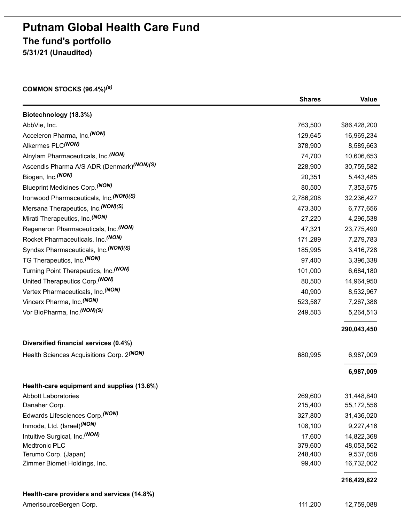# **Putnam Global Health Care Fund The fund's portfolio 5/31/21 (Unaudited)**

#### **COMMON STOCKS (96.4%)** *(a)*

|                                                       | <b>Shares</b> | Value        |
|-------------------------------------------------------|---------------|--------------|
| Biotechnology (18.3%)                                 |               |              |
| AbbVie, Inc.                                          | 763,500       | \$86,428,200 |
| Acceleron Pharma, Inc. (NON)                          | 129,645       | 16,969,234   |
| Alkermes PLC(NON)                                     | 378,900       | 8,589,663    |
| Alnylam Pharmaceuticals, Inc. (NON)                   | 74,700        | 10,606,653   |
| Ascendis Pharma A/S ADR (Denmark)(NON)(S)             | 228,900       | 30,759,582   |
| Biogen, Inc. (NON)                                    | 20,351        | 5,443,485    |
| <b>Blueprint Medicines Corp.</b> (NON)                | 80,500        | 7,353,675    |
| Ironwood Pharmaceuticals, Inc. (NON)(S)               | 2,786,208     | 32,236,427   |
| Mersana Therapeutics, Inc. (NON)(S)                   | 473,300       | 6,777,656    |
| Mirati Therapeutics, Inc. (NON)                       | 27,220        | 4,296,538    |
| Regeneron Pharmaceuticals, Inc. (NON)                 | 47,321        | 23,775,490   |
| Rocket Pharmaceuticals, Inc. (NON)                    | 171,289       | 7,279,783    |
| Syndax Pharmaceuticals, Inc. (NON)(S)                 | 185,995       | 3,416,728    |
| TG Therapeutics, Inc. (NON)                           | 97,400        | 3,396,338    |
| Turning Point Therapeutics, Inc. (NON)                | 101,000       | 6,684,180    |
| United Therapeutics Corp. (NON)                       | 80,500        | 14,964,950   |
| Vertex Pharmaceuticals, Inc. (NON)                    | 40,900        | 8,532,967    |
| Vincerx Pharma, Inc. (NON)                            | 523,587       | 7,267,388    |
| Vor BioPharma, Inc. (NON)(S)                          | 249,503       | 5,264,513    |
|                                                       |               |              |
|                                                       |               | 290,043,450  |
| Diversified financial services (0.4%)                 |               |              |
| Health Sciences Acquisitions Corp. 2 <sup>(NON)</sup> | 680,995       | 6,987,009    |
|                                                       |               | 6,987,009    |
| Health-care equipment and supplies (13.6%)            |               |              |
| <b>Abbott Laboratories</b>                            | 269,600       | 31,448,840   |
| Danaher Corp.                                         | 215,400       | 55,172,556   |
| Edwards Lifesciences Corp. <sup>(NON)</sup>           | 327,800       | 31,436,020   |
| Inmode, Ltd. (Israel) <sup>(NON)</sup>                | 108,100       | 9,227,416    |
| Intuitive Surgical, Inc. (NON)                        | 17,600        | 14,822,368   |
| Medtronic PLC                                         | 379,600       | 48,053,562   |
| Terumo Corp. (Japan)                                  | 248,400       | 9,537,058    |
| Zimmer Biomet Holdings, Inc.                          | 99,400        | 16,732,002   |
|                                                       |               | 216,429,822  |
| Health-care providers and services (14.8%)            |               |              |
| AmerisourceBergen Corp.                               | 111,200       | 12,759,088   |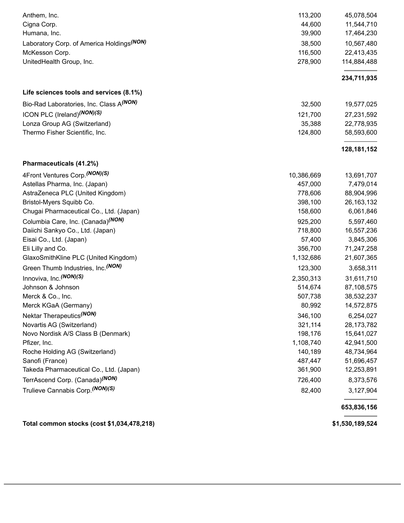| Total common stocks (cost \$1,034,478,218)                 |            | \$1,530,189,524 |
|------------------------------------------------------------|------------|-----------------|
|                                                            |            | 653,836,156     |
| Trulieve Cannabis Corp. (NON)(S)                           | 82,400     | 3,127,904       |
| TerrAscend Corp. (Canada) <sup>(NON)</sup>                 | 726,400    | 8,373,576       |
| Takeda Pharmaceutical Co., Ltd. (Japan)                    | 361,900    | 12,253,891      |
| Sanofi (France)                                            | 487,447    | 51,696,457      |
| Roche Holding AG (Switzerland)                             | 140,189    | 48,734,964      |
| Pfizer, Inc.                                               | 1,108,740  | 42,941,500      |
| Novo Nordisk A/S Class B (Denmark)                         | 198,176    | 15,641,027      |
| Novartis AG (Switzerland)                                  | 321,114    | 28,173,782      |
| Nektar Therapeutics <sup>(NON)</sup>                       | 346,100    | 6,254,027       |
| Merck KGaA (Germany)                                       | 80,992     | 14,572,875      |
| Merck & Co., Inc.                                          | 507,738    | 38,532,237      |
| Johnson & Johnson                                          | 514,674    | 87,108,575      |
| Innoviva, Inc. (NON)(S)                                    | 2,350,313  | 31,611,710      |
| Green Thumb Industries, Inc. (NON)                         | 123,300    | 3,658,311       |
| GlaxoSmithKline PLC (United Kingdom)                       | 1,132,686  | 21,607,365      |
| Eli Lilly and Co.                                          | 356,700    | 71,247,258      |
| Eisai Co., Ltd. (Japan)                                    | 57,400     | 3,845,306       |
| Daiichi Sankyo Co., Ltd. (Japan)                           | 718,800    | 16,557,236      |
| Columbia Care, Inc. (Canada) <sup>(NON)</sup>              | 925,200    | 5,597,460       |
| Chugai Pharmaceutical Co., Ltd. (Japan)                    | 158,600    | 6,061,846       |
| Bristol-Myers Squibb Co.                                   | 398,100    | 26, 163, 132    |
| AstraZeneca PLC (United Kingdom)                           | 778,606    | 88,904,996      |
| Astellas Pharma, Inc. (Japan)                              | 457,000    | 7,479,014       |
| Pharmaceuticals (41.2%)<br>4Front Ventures Corp. (NON) (S) | 10,386,669 | 13,691,707      |
|                                                            |            | 128, 181, 152   |
| Thermo Fisher Scientific, Inc.                             | 124,800    | 58,593,600      |
| Lonza Group AG (Switzerland)                               | 35,388     | 22,778,935      |
| ICON PLC (Ireland) (NON) (S)                               | 121,700    | 27,231,592      |
| Bio-Rad Laboratories, Inc. Class A(NON)                    | 32,500     | 19,577,025      |
| Life sciences tools and services (8.1%)                    |            |                 |
|                                                            |            | 234,711,935     |
| UnitedHealth Group, Inc.                                   | 278,900    | 114,884,488     |
| McKesson Corp.                                             | 116,500    | 22,413,435      |
| Laboratory Corp. of America Holdings <sup>(NON)</sup>      | 38,500     | 10,567,480      |
| Humana, Inc.                                               | 39,900     | 17,464,230      |
| Cigna Corp.                                                | 44,600     | 11,544,710      |
| Anthem, Inc.                                               | 113,200    | 45,078,504      |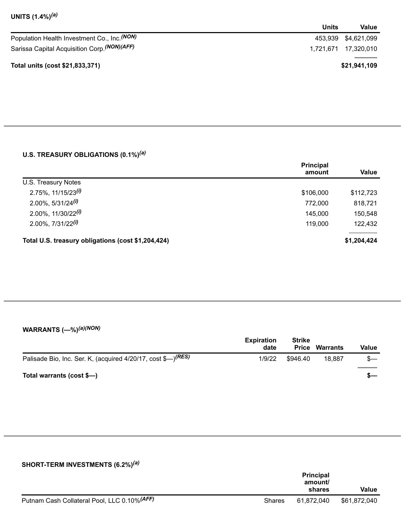| UNITS (1.4%) <sup>(a)</sup> |  |  |
|-----------------------------|--|--|
|-----------------------------|--|--|

|                                                         | Units | Value                 |
|---------------------------------------------------------|-------|-----------------------|
| Population Health Investment Co., Inc. <sup>(NON)</sup> |       | 453,939 \$4,621,099   |
| Sarissa Capital Acquisition Corp. (NON) (AFF)           |       | 1.721.671  17.320.010 |
| Total units (cost \$21,833,371)                         |       | \$21,941,109          |

### **U.S. TREASURY OBLIGATIONS (0.1%)** *(a)*

|                                                    | <b>Principal</b><br>amount | Value       |
|----------------------------------------------------|----------------------------|-------------|
| U.S. Treasury Notes                                |                            |             |
| $2.75\%$ , 11/15/23 <sup>(i)</sup>                 | \$106,000                  | \$112,723   |
| $2.00\%$ , 5/31/24 <sup>(i)</sup>                  | 772,000                    | 818,721     |
| $2.00\%$ , 11/30/22 <sup>(i)</sup>                 | 145,000                    | 150,548     |
| $2.00\%$ , $7/31/22^{(i)}$                         | 119,000                    | 122,432     |
| Total U.S. treasury obligations (cost \$1,204,424) |                            | \$1,204,424 |

#### **WARRANTS (—%)** *(a)(NON)*

|                                                                          | <b>Expiration</b><br>date | <b>Strike</b><br><b>Price</b> | Warrants | Value |
|--------------------------------------------------------------------------|---------------------------|-------------------------------|----------|-------|
| Palisade Bio, Inc. Ser. K, (acquired 4/20/17, cost \$-) <sup>(RES)</sup> | 1/9/22                    | \$946.40                      | 18.887   | $s-$  |
| Total warrants (cost \$-)                                                |                           |                               |          | - S   |

#### **SHORT-TERM INVESTMENTS (6.2%)** *(a)*

|                                              |               | <b>Principal</b><br>amount/<br>shares | <b>Value</b> |
|----------------------------------------------|---------------|---------------------------------------|--------------|
| Putnam Cash Collateral Pool, LLC 0.10% (AFF) | <b>Shares</b> | 61.872.040                            | \$61,872,040 |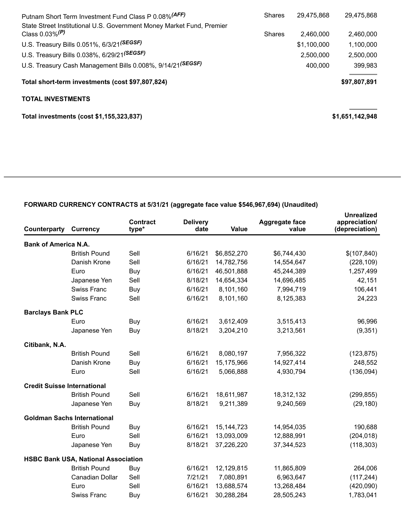| <b>Shares</b> | 29.475.868  | 29,475,868      |
|---------------|-------------|-----------------|
| <b>Shares</b> | 2.460.000   | 2,460,000       |
|               | \$1,100,000 | 1,100,000       |
|               | 2,500,000   | 2,500,000       |
|               | 400,000     | 399,983         |
|               |             | \$97,807,891    |
|               |             |                 |
|               |             | \$1,651,142,948 |
|               |             |                 |

## **FORWARD CURRENCY CONTRACTS at 5/31/21 (aggregate face value \$546,967,694) (Unaudited)**

| <b>Counterparty</b>                | Currency                                   | <b>Contract</b><br>type* | <b>Delivery</b><br>date | <b>Value</b> | <b>Aggregate face</b><br>value | <b>Unrealized</b><br>appreciation/<br>(depreciation) |
|------------------------------------|--------------------------------------------|--------------------------|-------------------------|--------------|--------------------------------|------------------------------------------------------|
| <b>Bank of America N.A.</b>        |                                            |                          |                         |              |                                |                                                      |
|                                    | <b>British Pound</b>                       | Sell                     | 6/16/21                 | \$6,852,270  | \$6,744,430                    | \$(107, 840)                                         |
|                                    | Danish Krone                               | Sell                     | 6/16/21                 | 14,782,756   | 14,554,647                     | (228, 109)                                           |
|                                    | Euro                                       | Buy                      | 6/16/21                 | 46,501,888   | 45,244,389                     | 1,257,499                                            |
|                                    | Japanese Yen                               | Sell                     | 8/18/21                 | 14,654,334   | 14,696,485                     | 42,151                                               |
|                                    | <b>Swiss Franc</b>                         | Buy                      | 6/16/21                 | 8,101,160    | 7,994,719                      | 106,441                                              |
|                                    | <b>Swiss Franc</b>                         | Sell                     | 6/16/21                 | 8,101,160    | 8,125,383                      | 24,223                                               |
| <b>Barclays Bank PLC</b>           |                                            |                          |                         |              |                                |                                                      |
|                                    | Euro                                       | Buy                      | 6/16/21                 | 3,612,409    | 3,515,413                      | 96,996                                               |
|                                    | Japanese Yen                               | Buy                      | 8/18/21                 | 3,204,210    | 3,213,561                      | (9,351)                                              |
| Citibank, N.A.                     |                                            |                          |                         |              |                                |                                                      |
|                                    | <b>British Pound</b>                       | Sell                     | 6/16/21                 | 8,080,197    | 7,956,322                      | (123, 875)                                           |
|                                    | Danish Krone                               | Buy                      | 6/16/21                 | 15,175,966   | 14,927,414                     | 248,552                                              |
|                                    | Euro                                       | Sell                     | 6/16/21                 | 5,066,888    | 4,930,794                      | (136,094)                                            |
| <b>Credit Suisse International</b> |                                            |                          |                         |              |                                |                                                      |
|                                    | <b>British Pound</b>                       | Sell                     | 6/16/21                 | 18,611,987   | 18,312,132                     | (299, 855)                                           |
|                                    | Japanese Yen                               | Buy                      | 8/18/21                 | 9,211,389    | 9,240,569                      | (29, 180)                                            |
|                                    | <b>Goldman Sachs International</b>         |                          |                         |              |                                |                                                      |
|                                    | <b>British Pound</b>                       | Buy                      | 6/16/21                 | 15, 144, 723 | 14,954,035                     | 190,688                                              |
|                                    | Euro                                       | Sell                     | 6/16/21                 | 13,093,009   | 12,888,991                     | (204, 018)                                           |
|                                    | Japanese Yen                               | Buy                      | 8/18/21                 | 37,226,220   | 37,344,523                     | (118, 303)                                           |
|                                    | <b>HSBC Bank USA, National Association</b> |                          |                         |              |                                |                                                      |
|                                    | <b>British Pound</b>                       | Buy                      | 6/16/21                 | 12,129,815   | 11,865,809                     | 264,006                                              |
|                                    | Canadian Dollar                            | Sell                     | 7/21/21                 | 7,080,891    | 6,963,647                      | (117, 244)                                           |
|                                    | Euro                                       | Sell                     | 6/16/21                 | 13,688,574   | 13,268,484                     | (420,090)                                            |
|                                    | <b>Swiss Franc</b>                         | Buy                      | 6/16/21                 | 30,288,284   | 28,505,243                     | 1,783,041                                            |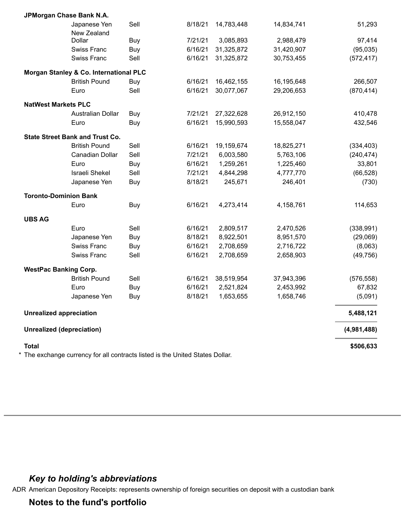| <b>Total</b>                     | The exchange currency for all contracts listed is the United States Dollar. |      |         |            |            | \$506,633   |
|----------------------------------|-----------------------------------------------------------------------------|------|---------|------------|------------|-------------|
| <b>Unrealized (depreciation)</b> |                                                                             |      |         |            |            | (4,981,488) |
| <b>Unrealized appreciation</b>   |                                                                             |      |         |            |            | 5,488,121   |
|                                  | Japanese Yen                                                                | Buy  | 8/18/21 | 1,653,655  | 1,658,746  | (5,091)     |
|                                  | Euro                                                                        | Buy  | 6/16/21 | 2,521,824  | 2,453,992  | 67,832      |
|                                  | <b>British Pound</b>                                                        | Sell | 6/16/21 | 38,519,954 | 37,943,396 | (576, 558)  |
| <b>WestPac Banking Corp.</b>     |                                                                             |      |         |            |            |             |
|                                  | <b>Swiss Franc</b>                                                          | Sell | 6/16/21 | 2,708,659  | 2,658,903  | (49, 756)   |
|                                  | <b>Swiss Franc</b>                                                          | Buy  | 6/16/21 | 2,708,659  | 2,716,722  | (8,063)     |
|                                  | Japanese Yen                                                                | Buy  | 8/18/21 | 8,922,501  | 8,951,570  | (29,069)    |
|                                  | Euro                                                                        | Sell | 6/16/21 | 2,809,517  | 2,470,526  | (338, 991)  |
| <b>UBS AG</b>                    |                                                                             |      |         |            |            |             |
|                                  | Euro                                                                        | Buy  | 6/16/21 | 4,273,414  | 4,158,761  | 114,653     |
| <b>Toronto-Dominion Bank</b>     |                                                                             |      |         |            |            |             |
|                                  | Japanese Yen                                                                | Buy  | 8/18/21 | 245,671    | 246,401    | (730)       |
|                                  | <b>Israeli Shekel</b>                                                       | Sell | 7/21/21 | 4,844,298  | 4,777,770  | (66, 528)   |
|                                  | Euro                                                                        | Buy  | 6/16/21 | 1,259,261  | 1,225,460  | 33,801      |
|                                  | Canadian Dollar                                                             | Sell | 7/21/21 | 6,003,580  | 5,763,106  | (240, 474)  |
|                                  | <b>State Street Bank and Trust Co.</b><br><b>British Pound</b>              | Sell | 6/16/21 | 19,159,674 | 18,825,271 | (334, 403)  |
|                                  | Euro                                                                        | Buy  | 6/16/21 | 15,990,593 | 15,558,047 | 432,546     |
|                                  | Australian Dollar                                                           | Buy  | 7/21/21 | 27,322,628 | 26,912,150 | 410,478     |
| <b>NatWest Markets PLC</b>       |                                                                             |      |         |            |            |             |
|                                  | Euro                                                                        | Sell | 6/16/21 | 30,077,067 | 29,206,653 | (870, 414)  |
|                                  | <b>British Pound</b>                                                        | Buy  | 6/16/21 | 16,462,155 | 16,195,648 | 266,507     |
|                                  | Morgan Stanley & Co. International PLC                                      |      |         |            |            |             |
|                                  | Swiss Franc                                                                 | Sell | 6/16/21 | 31,325,872 | 30,753,455 | (572, 417)  |
|                                  | <b>Swiss Franc</b>                                                          | Buy  | 6/16/21 | 31,325,872 | 31,420,907 | (95,035)    |
|                                  | Dollar                                                                      | Buy  | 7/21/21 | 3,085,893  | 2,988,479  | 97,414      |
|                                  | Japanese Yen<br>New Zealand                                                 | Sell | 8/18/21 | 14,783,448 | 14,834,741 | 51,293      |
|                                  | JPMorgan Chase Bank N.A.                                                    |      |         |            |            |             |

# *Key to holding's abbreviations*

ADR American Depository Receipts: represents ownership of foreign securities on deposit with a custodian bank

**Notes to the fund's portfolio**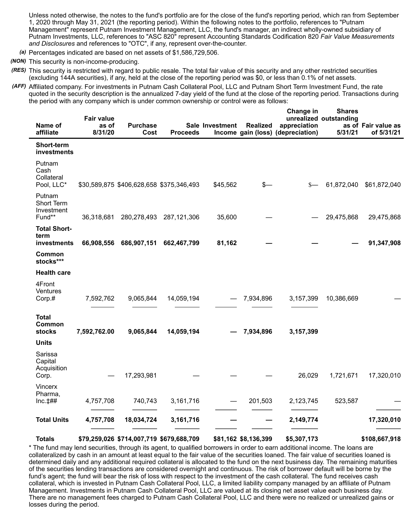Unless noted otherwise, the notes to the fund's portfolio are for the close of the fund's reporting period, which ran from September 1, 2020 through May 31, 2021 (the reporting period). Within the following notes to the portfolio, references to "Putnam Management" represent Putnam Investment Management, LLC, the fund's manager, an indirect wholly-owned subsidiary of Putnam Investments, LLC, references to "ASC 820" represent Accounting Standards Codification 820 *Fair Value Measurements and Disclosures* and references to "OTC", if any, represent over-the-counter.

- *(a)* Percentages indicated are based on net assets of \$1,586,729,506.
- *(NON)* This security is non-income-producing.
- *(RES)* This security is restricted with regard to public resale. The total fair value of this security and any other restricted securities (excluding 144A securities), if any, held at the close of the reporting period was \$0, or less than 0.1% of net assets.
- *(AFF)* Affiliated company. For investments in Putnam Cash Collateral Pool, LLC and Putnam Short Term Investment Fund, the rate quoted in the security description is the annualized 7-day yield of the fund at the close of the reporting period. Transactions during the period with any company which is under common ownership or control were as follows:

| Name of<br>affiliate                            | <b>Fair value</b><br>as of<br>8/31/20 | <b>Purchase</b><br>Cost                  | <b>Proceeds</b>                          | Sale Investment            | <b>Realized</b>      | Change in<br>appreciation<br>Income gain (loss) (depreciation) | <b>Shares</b><br>unrealized outstanding<br>5/31/21 | as of Fair value as<br>of 5/31/21 |
|-------------------------------------------------|---------------------------------------|------------------------------------------|------------------------------------------|----------------------------|----------------------|----------------------------------------------------------------|----------------------------------------------------|-----------------------------------|
| Short-term<br><b>investments</b>                |                                       |                                          |                                          |                            |                      |                                                                |                                                    |                                   |
| Putnam<br>Cash<br>Collateral<br>Pool, LLC*      |                                       |                                          | \$30,589,875 \$406,628,658 \$375,346,493 | \$45,562                   | s—                   | $S-$                                                           | 61,872,040                                         | \$61,872,040                      |
| Putnam<br>Short Term<br>Investment<br>Fund**    | 36,318,681                            | 280,278,493                              | 287,121,306                              | 35,600                     |                      |                                                                | 29,475,868                                         | 29,475,868                        |
| <b>Total Short-</b><br>term<br>investments      | 66,908,556                            | 686,907,151                              | 662,467,799                              | 81,162                     |                      |                                                                |                                                    | 91,347,908                        |
| Common<br>stocks***                             |                                       |                                          |                                          |                            |                      |                                                                |                                                    |                                   |
| <b>Health care</b>                              |                                       |                                          |                                          |                            |                      |                                                                |                                                    |                                   |
| 4Front<br>Ventures<br>Corp.#                    | 7,592,762                             | 9,065,844                                | 14,059,194                               | $\qquad \qquad \  \  \, -$ | 7,934,896            | 3,157,399                                                      | 10,386,669                                         |                                   |
| <b>Total</b><br>Common<br>stocks                | 7,592,762.00                          | 9,065,844                                | 14,059,194                               |                            | 7,934,896            | 3,157,399                                                      |                                                    |                                   |
| <b>Units</b>                                    |                                       |                                          |                                          |                            |                      |                                                                |                                                    |                                   |
| Sarissa<br>Capital<br>Acquisition<br>Corp.      |                                       | 17,293,981                               |                                          |                            |                      | 26,029                                                         | 1,721,671                                          | 17,320,010                        |
| <b>Vincerx</b><br>Pharma,<br>$Inc. \ddagger$ ## | 4,757,708                             | 740,743                                  | 3,161,716                                |                            | 201,503              | 2,123,745                                                      | 523,587                                            |                                   |
| <b>Total Units</b>                              | 4,757,708                             | 18,034,724                               | 3,161,716                                |                            |                      | 2,149,774                                                      |                                                    | 17,320,010                        |
| <b>Totals</b>                                   |                                       | \$79,259,026 \$714,007,719 \$679,688,709 |                                          |                            | \$81,162 \$8,136,399 | \$5,307,173                                                    |                                                    | \$108,667,918                     |

\* The fund may lend securities, through its agent, to qualified borrowers in order to earn additional income. The loans are collateralized by cash in an amount at least equal to the fair value of the securities loaned. The fair value of securities loaned is determined daily and any additional required collateral is allocated to the fund on the next business day. The remaining maturities of the securities lending transactions are considered overnight and continuous. The risk of borrower default will be borne by the fund's agent; the fund will bear the risk of loss with respect to the investment of the cash collateral. The fund receives cash collateral, which is invested in Putnam Cash Collateral Pool, LLC, a limited liability company managed by an affiliate of Putnam Management. Investments in Putnam Cash Collateral Pool, LLC are valued at its closing net asset value each business day. There are no management fees charged to Putnam Cash Collateral Pool, LLC and there were no realized or unrealized gains or losses during the period.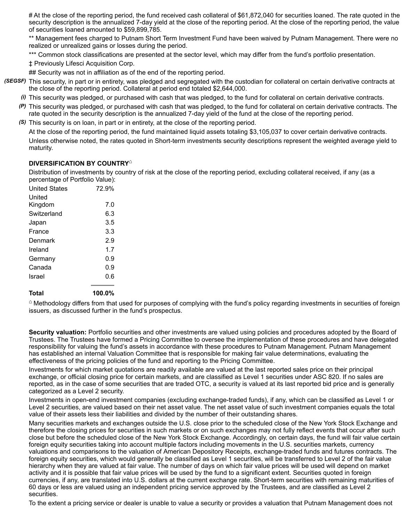# At the close of the reporting period, the fund received cash collateral of \$61,872,040 for securities loaned. The rate quoted in the security description is the annualized 7-day yield at the close of the reporting period. At the close of the reporting period, the value of securities loaned amounted to \$59,899,785.

\*\* Management fees charged to Putnam Short Term Investment Fund have been waived by Putnam Management. There were no realized or unrealized gains or losses during the period.

\*\*\* Common stock classifications are presented at the sector level, which may differ from the fund's portfolio presentation.

‡ Previously Lifesci Acquisition Corp.

## Security was not in affiliation as of the end of the reporting period.

- *(SEGSF)* This security, in part or in entirety, was pledged and segregated with the custodian for collateral on certain derivative contracts at the close of the reporting period. Collateral at period end totaled \$2,644,000.
	- *(i)* This security was pledged, or purchased with cash that was pledged, to the fund for collateral on certain derivative contracts.
	- *(P)* This security was pledged, or purchased with cash that was pledged, to the fund for collateral on certain derivative contracts. The rate quoted in the security description is the annualized 7-day yield of the fund at the close of the reporting period.
	- *(S)* This security is on loan, in part or in entirety, at the close of the reporting period.

At the close of the reporting period, the fund maintained liquid assets totaling \$3,105,037 to cover certain derivative contracts. Unless otherwise noted, the rates quoted in Short-term investments security descriptions represent the weighted average yield to maturity.

#### **DIVERSIFICATION BY COUNTRY ⌂**

Distribution of investments by country of risk at the close of the reporting period, excluding collateral received, if any (as a percentage of Portfolio Value):

| Total                | 100.0% |
|----------------------|--------|
| Israel               | 0.6    |
| Canada               | 0.9    |
| Germany              | 0.9    |
| Ireland              | 1.7    |
| Denmark              | 2.9    |
| France               | 3.3    |
| Japan                | 3.5    |
| Switzerland          | 6.3    |
| United<br>Kingdom    | 7.0    |
| <b>United States</b> | 72.9%  |

 $\textdegree$  Methodology differs from that used for purposes of complying with the fund's policy regarding investments in securities of foreign issuers, as discussed further in the fund's prospectus.

**Security valuation:** Portfolio securities and other investments are valued using policies and procedures adopted by the Board of Trustees. The Trustees have formed a Pricing Committee to oversee the implementation of these procedures and have delegated responsibility for valuing the fund's assets in accordance with these procedures to Putnam Management. Putnam Management has established an internal Valuation Committee that is responsible for making fair value determinations, evaluating the effectiveness of the pricing policies of the fund and reporting to the Pricing Committee.

Investments for which market quotations are readily available are valued at the last reported sales price on their principal exchange, or official closing price for certain markets, and are classified as Level 1 securities under ASC 820. If no sales are reported, as in the case of some securities that are traded OTC, a security is valued at its last reported bid price and is generally categorized as a Level 2 security.

Investments in open-end investment companies (excluding exchange-traded funds), if any, which can be classified as Level 1 or Level 2 securities, are valued based on their net asset value. The net asset value of such investment companies equals the total value of their assets less their liabilities and divided by the number of their outstanding shares.

Many securities markets and exchanges outside the U.S. close prior to the scheduled close of the New York Stock Exchange and therefore the closing prices for securities in such markets or on such exchanges may not fully reflect events that occur after such close but before the scheduled close of the New York Stock Exchange. Accordingly, on certain days, the fund will fair value certain foreign equity securities taking into account multiple factors including movements in the U.S. securities markets, currency valuations and comparisons to the valuation of American Depository Receipts, exchange-traded funds and futures contracts. The foreign equity securities, which would generally be classified as Level 1 securities, will be transferred to Level 2 of the fair value hierarchy when they are valued at fair value. The number of days on which fair value prices will be used will depend on market activity and it is possible that fair value prices will be used by the fund to a significant extent. Securities quoted in foreign currencies, if any, are translated into U.S. dollars at the current exchange rate. Short-term securities with remaining maturities of 60 days or less are valued using an independent pricing service approved by the Trustees, and are classified as Level 2 securities.

To the extent a pricing service or dealer is unable to value a security or provides a valuation that Putnam Management does not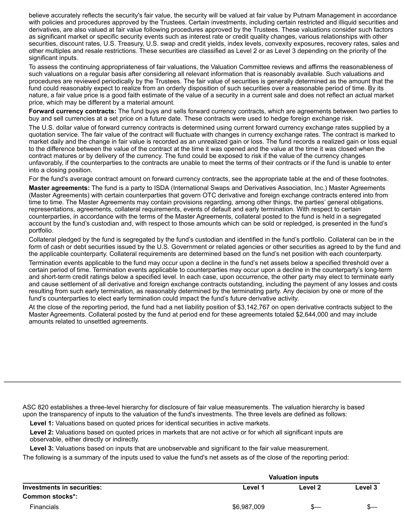believe accurately reflects the security's fair value, the security will be valued at fair value by Putnam Management in accordance with policies and procedures approved by the Trustees. Certain investments, including certain restricted and illiquid securities and derivatives, are also valued at fair value following procedures approved by the Trustees. These valuations consider such factors as significant market or specific security events such as interest rate or credit quality changes, various relationships with other securities, discount rates, U.S. Treasury, U.S. swap and credit yields, index levels, convexity exposures, recovery rates, sales and other multiples and resale restrictions. These securities are classified as Level 2 or as Level 3 depending on the priority of the significant inputs.

To assess the continuing appropriateness of fair valuations, the Valuation Committee reviews and affirms the reasonableness of such valuations on a regular basis after considering all relevant information that is reasonably available. Such valuations and procedures are reviewed periodically by the Trustees. The fair value of securities is generally determined as the amount that the fund could reasonably expect to realize from an orderly disposition of such securities over a reasonable period of time. By its nature, a fair value price is a good faith estimate of the value of a security in a current sale and does not reflect an actual market price, which may be different by a material amount.

**Forward currency contracts:** The fund buys and sells forward currency contracts, which are agreements between two parties to buy and sell currencies at a set price on a future date. These contracts were used to hedge foreign exchange risk.

The U.S. dollar value of forward currency contracts is determined using current forward currency exchange rates supplied by a quotation service. The fair value of the contract will fluctuate with changes in currency exchange rates. The contract is marked to market daily and the change in fair value is recorded as an unrealized gain or loss. The fund records a realized gain or loss equal to the difference between the value of the contract at the time it was opened and the value at the time it was closed when the contract matures or by delivery of the currency. The fund could be exposed to risk if the value of the currency changes unfavorably, if the counterparties to the contracts are unable to meet the terms of their contracts or if the fund is unable to enter into a closing position.

For the fund's average contract amount on forward currency contracts, see the appropriate table at the end of these footnotes.

**Master agreements:** The fund is a party to ISDA (International Swaps and Derivatives Association, Inc.) Master Agreements (Master Agreements) with certain counterparties that govern OTC derivative and foreign exchange contracts entered into from time to time. The Master Agreements may contain provisions regarding, among other things, the parties' general obligations, representations, agreements, collateral requirements, events of default and early termination. With respect to certain counterparties, in accordance with the terms of the Master Agreements, collateral posted to the fund is held in a segregated account by the fund's custodian and, with respect to those amounts which can be sold or repledged, is presented in the fund's portfolio.

Collateral pledged by the fund is segregated by the fund's custodian and identified in the fund's portfolio. Collateral can be in the form of cash or debt securities issued by the U.S. Government or related agencies or other securities as agreed to by the fund and the applicable counterparty. Collateral requirements are determined based on the fund's net position with each counterparty.

Termination events applicable to the fund may occur upon a decline in the fund's net assets below a specified threshold over a certain period of time. Termination events applicable to counterparties may occur upon a decline in the counterparty's long-term and short-term credit ratings below a specified level. In each case, upon occurrence, the other party may elect to terminate early and cause settlement of all derivative and foreign exchange contracts outstanding, including the payment of any losses and costs resulting from such early termination, as reasonably determined by the terminating party. Any decision by one or more of the fund's counterparties to elect early termination could impact the fund's future derivative activity.

At the close of the reporting period, the fund had a net liability position of \$3,142,767 on open derivative contracts subject to the Master Agreements. Collateral posted by the fund at period end for these agreements totaled \$2,644,000 and may include amounts related to unsettled agreements.

ASC 820 establishes a three-level hierarchy for disclosure of fair value measurements. The valuation hierarchy is based upon the transparency of inputs to the valuation of the fund's investments. The three levels are defined as follows:

**Level 1:** Valuations based on quoted prices for identical securities in active markets.

**Level 2:** Valuations based on quoted prices in markets that are not active or for which all significant inputs are observable, either directly or indirectly.

**Level 3:** Valuations based on inputs that are unobservable and significant to the fair value measurement.

The following is a summary of the inputs used to value the fund's net assets as of the close of the reporting period:

|                            | <b>Valuation inputs</b> |         |         |
|----------------------------|-------------------------|---------|---------|
| Investments in securities: | Level 1                 | Level 2 | Level 3 |
| Common stocks*:            |                         |         |         |
| <b>Financials</b>          | \$6,987,009             |         |         |